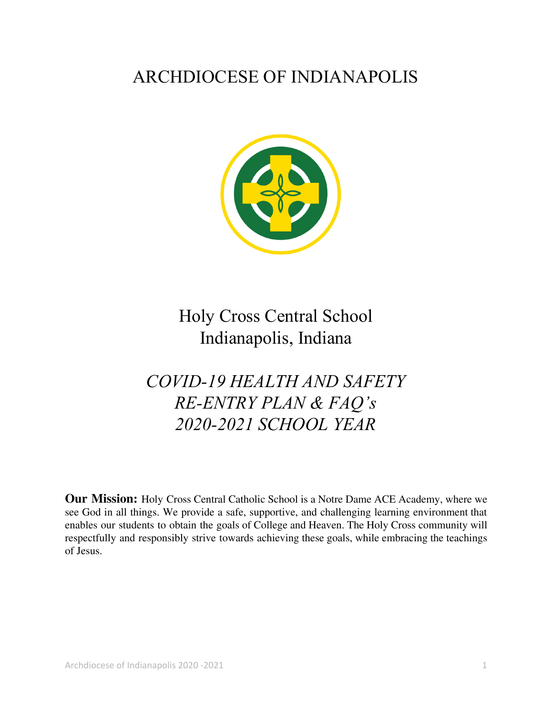# ARCHDIOCESE OF INDIANAPOLIS



Holy Cross Central School Indianapolis, Indiana

# *COVID-19 HEALTH AND SAFETY RE-ENTRY PLAN & FAQ's 2020-2021 SCHOOL YEAR*

**Our Mission:** Holy Cross Central Catholic School is a Notre Dame ACE Academy, where we see God in all things. We provide a safe, supportive, and challenging learning environment that enables our students to obtain the goals of College and Heaven. The Holy Cross community will respectfully and responsibly strive towards achieving these goals, while embracing the teachings of Jesus.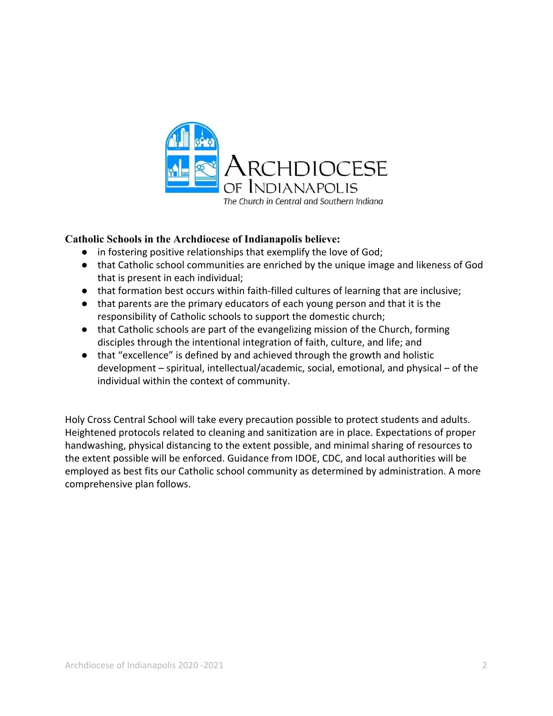

#### **Catholic Schools in the Archdiocese of Indianapolis believe:**

- in fostering positive relationships that exemplify the love of God;
- that Catholic school communities are enriched by the unique image and likeness of God that is present in each individual;
- that formation best occurs within faith-filled cultures of learning that are inclusive;
- that parents are the primary educators of each young person and that it is the responsibility of Catholic schools to support the domestic church;
- that Catholic schools are part of the evangelizing mission of the Church, forming disciples through the intentional integration of faith, culture, and life; and
- that "excellence" is defined by and achieved through the growth and holistic development – spiritual, intellectual/academic, social, emotional, and physical – of the individual within the context of community.

Holy Cross Central School will take every precaution possible to protect students and adults. Heightened protocols related to cleaning and sanitization are in place. Expectations of proper handwashing, physical distancing to the extent possible, and minimal sharing of resources to the extent possible will be enforced. Guidance from IDOE, CDC, and local authorities will be employed as best fits our Catholic school community as determined by administration. A more comprehensive plan follows.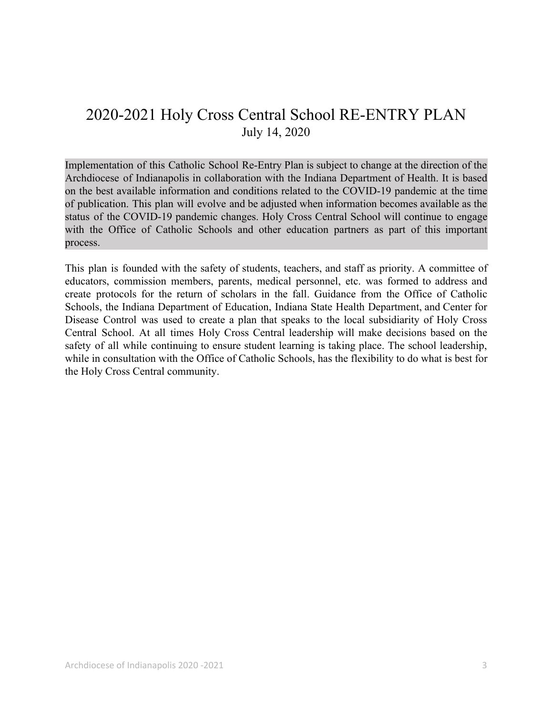# 2020-2021 Holy Cross Central School RE-ENTRY PLAN July 14, 2020

Implementation of this Catholic School Re-Entry Plan is subject to change at the direction of the Archdiocese of Indianapolis in collaboration with the Indiana Department of Health. It is based on the best available information and conditions related to the COVID-19 pandemic at the time of publication. This plan will evolve and be adjusted when information becomes available as the status of the COVID-19 pandemic changes. Holy Cross Central School will continue to engage with the Office of Catholic Schools and other education partners as part of this important process.

This plan is founded with the safety of students, teachers, and staff as priority. A committee of educators, commission members, parents, medical personnel, etc. was formed to address and create protocols for the return of scholars in the fall. Guidance from the Office of Catholic Schools, the Indiana Department of Education, Indiana State Health Department, and Center for Disease Control was used to create a plan that speaks to the local subsidiarity of Holy Cross Central School. At all times Holy Cross Central leadership will make decisions based on the safety of all while continuing to ensure student learning is taking place. The school leadership, while in consultation with the Office of Catholic Schools, has the flexibility to do what is best for the Holy Cross Central community.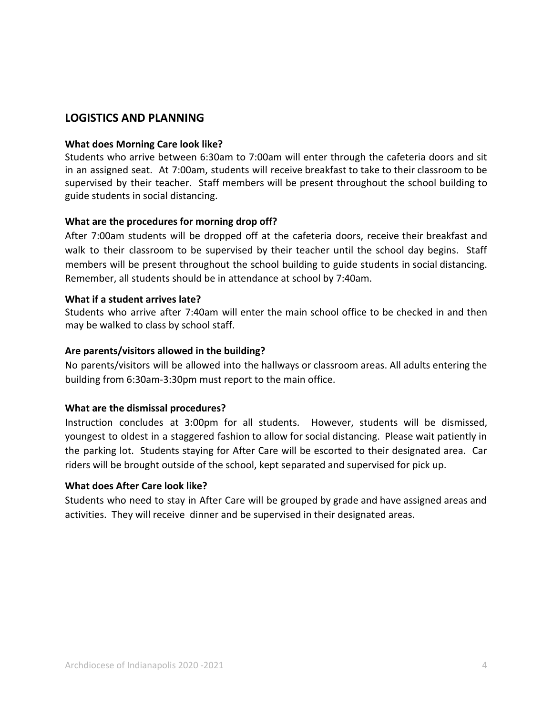### **LOGISTICS AND PLANNING**

#### **What does Morning Care look like?**

Students who arrive between 6:30am to 7:00am will enter through the cafeteria doors and sit in an assigned seat. At 7:00am, students will receive breakfast to take to their classroom to be supervised by their teacher. Staff members will be present throughout the school building to guide students in social distancing.

#### **What are the procedures for morning drop off?**

After 7:00am students will be dropped off at the cafeteria doors, receive their breakfast and walk to their classroom to be supervised by their teacher until the school day begins. Staff members will be present throughout the school building to guide students in social distancing. Remember, all students should be in attendance at school by 7:40am.

#### **What if a student arrives late?**

Students who arrive after 7:40am will enter the main school office to be checked in and then may be walked to class by school staff.

#### **Are parents/visitors allowed in the building?**

No parents/visitors will be allowed into the hallways or classroom areas. All adults entering the building from 6:30am-3:30pm must report to the main office.

#### **What are the dismissal procedures?**

Instruction concludes at 3:00pm for all students. However, students will be dismissed, youngest to oldest in a staggered fashion to allow for social distancing. Please wait patiently in the parking lot. Students staying for After Care will be escorted to their designated area. Car riders will be brought outside of the school, kept separated and supervised for pick up.

#### **What does After Care look like?**

Students who need to stay in After Care will be grouped by grade and have assigned areas and activities. They will receive dinner and be supervised in their designated areas.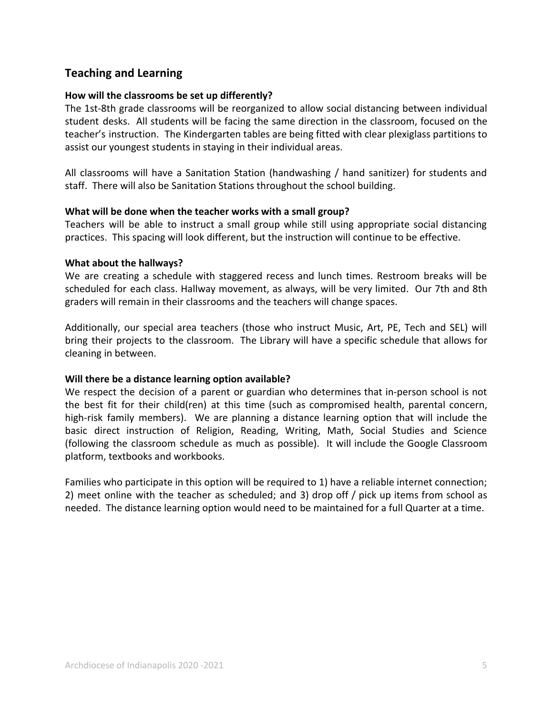## **Teaching and Learning**

#### **How will the classrooms be set up differently?**

The 1st-8th grade classrooms will be reorganized to allow social distancing between individual student desks. All students will be facing the same direction in the classroom, focused on the teacher's instruction. The Kindergarten tables are being fitted with clear plexiglass partitions to assist our youngest students in staying in their individual areas.

All classrooms will have a Sanitation Station (handwashing / hand sanitizer) for students and staff. There will also be Sanitation Stations throughout the school building.

#### **What will be done when the teacher works with a small group?**

Teachers will be able to instruct a small group while still using appropriate social distancing practices. This spacing will look different, but the instruction will continue to be effective.

#### **What about the hallways?**

We are creating a schedule with staggered recess and lunch times. Restroom breaks will be scheduled for each class. Hallway movement, as always, will be very limited. Our 7th and 8th graders will remain in their classrooms and the teachers will change spaces.

Additionally, our special area teachers (those who instruct Music, Art, PE, Tech and SEL) will bring their projects to the classroom. The Library will have a specific schedule that allows for cleaning in between.

#### **Will there be a distance learning option available?**

We respect the decision of a parent or guardian who determines that in-person school is not the best fit for their child(ren) at this time (such as compromised health, parental concern, high-risk family members). We are planning a distance learning option that will include the basic direct instruction of Religion, Reading, Writing, Math, Social Studies and Science (following the classroom schedule as much as possible). It will include the Google Classroom platform, textbooks and workbooks.

Families who participate in this option will be required to 1) have a reliable internet connection; 2) meet online with the teacher as scheduled; and 3) drop off / pick up items from school as needed. The distance learning option would need to be maintained for a full Quarter at a time.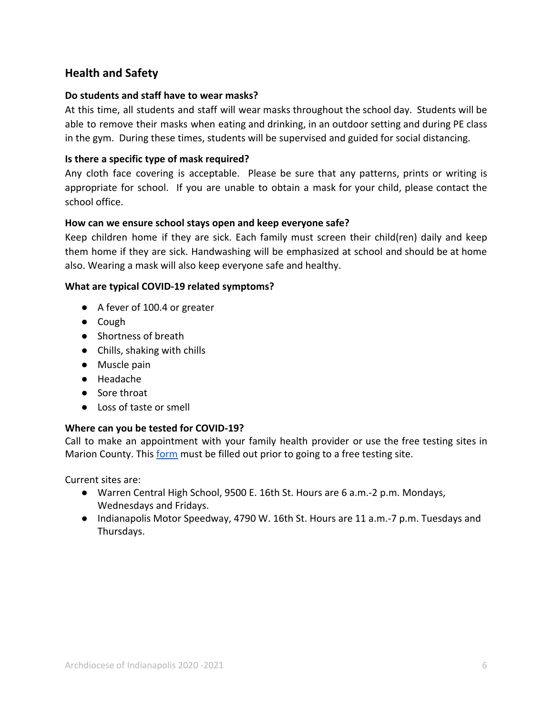# **Health and Safety**

#### **Do students and staff have to wear masks?**

At this time, all students and staff will wear masks throughout the school day. Students will be able to remove their masks when eating and drinking, in an outdoor setting and during PE class in the gym. During these times, students will be supervised and guided for social distancing.

#### **Is there a specific type of mask required?**

Any cloth face covering is acceptable. Please be sure that any patterns, prints or writing is appropriate for school. If you are unable to obtain a mask for your child, please contact the school office.

#### **How can we ensure school stays open and keep everyone safe?**

Keep children home if they are sick. Each family must screen their child(ren) daily and keep them home if they are sick. Handwashing will be emphasized at school and should be at home also. Wearing a mask will also keep everyone safe and healthy.

#### **What are typical COVID-19 related symptoms?**

- A fever of 100.4 or greater
- Cough
- Shortness of breath
- Chills, shaking with chills
- Muscle pain
- Headache
- Sore throat
- Loss of taste or smell

#### **Where can you be tested for COVID-19?**

Call to make an appointment with your family health provider or use the free testing sites in Marion County. This [form](https://mcphdredcap.hhcorp.org/surveys/?s=A4F4NY3PDH) must be filled out prior to going to a free testing site.

Current sites are:

- Warren Central High School, 9500 E. 16th St. Hours are 6 a.m.-2 p.m. Mondays, Wednesdays and Fridays.
- Indianapolis Motor Speedway, 4790 W. 16th St. Hours are 11 a.m.-7 p.m. Tuesdays and Thursdays.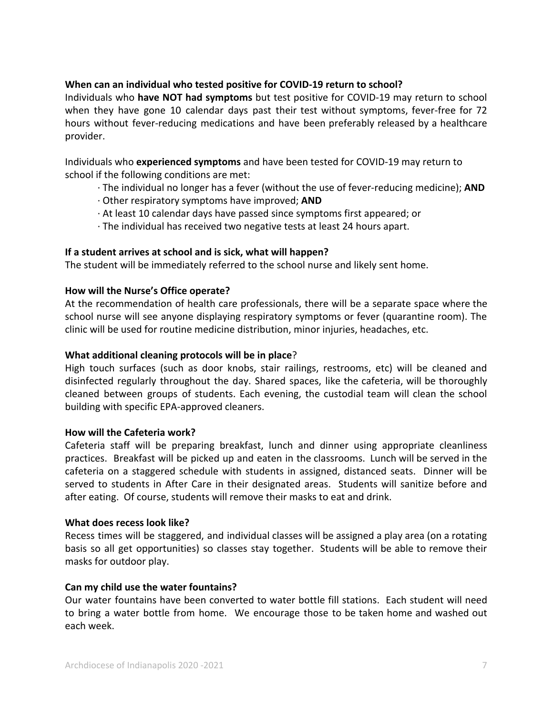#### **When can an individual who tested positive for COVID-19 return to school?**

Individuals who **have NOT had symptoms** but test positive for COVID-19 may return to school when they have gone 10 calendar days past their test without symptoms, fever-free for 72 hours without fever-reducing medications and have been preferably released by a healthcare provider.

Individuals who **experienced symptoms** and have been tested for COVID-19 may return to school if the following conditions are met:

- · The individual no longer has a fever (without the use of fever-reducing medicine); **AND**
- · Other respiratory symptoms have improved; **AND**
- · At least 10 calendar days have passed since symptoms first appeared; or
- · The individual has received two negative tests at least 24 hours apart.

#### **If a student arrives at school and is sick, what will happen?**

The student will be immediately referred to the school nurse and likely sent home.

#### **How will the Nurse's Office operate?**

At the recommendation of health care professionals, there will be a separate space where the school nurse will see anyone displaying respiratory symptoms or fever (quarantine room). The clinic will be used for routine medicine distribution, minor injuries, headaches, etc.

#### **What additional cleaning protocols will be in place**?

High touch surfaces (such as door knobs, stair railings, restrooms, etc) will be cleaned and disinfected regularly throughout the day. Shared spaces, like the cafeteria, will be thoroughly cleaned between groups of students. Each evening, the custodial team will clean the school building with specific EPA-approved cleaners.

#### **How will the Cafeteria work?**

Cafeteria staff will be preparing breakfast, lunch and dinner using appropriate cleanliness practices. Breakfast will be picked up and eaten in the classrooms. Lunch will be served in the cafeteria on a staggered schedule with students in assigned, distanced seats. Dinner will be served to students in After Care in their designated areas. Students will sanitize before and after eating. Of course, students will remove their masks to eat and drink.

#### **What does recess look like?**

Recess times will be staggered, and individual classes will be assigned a play area (on a rotating basis so all get opportunities) so classes stay together. Students will be able to remove their masks for outdoor play.

#### **Can my child use the water fountains?**

Our water fountains have been converted to water bottle fill stations. Each student will need to bring a water bottle from home. We encourage those to be taken home and washed out each week.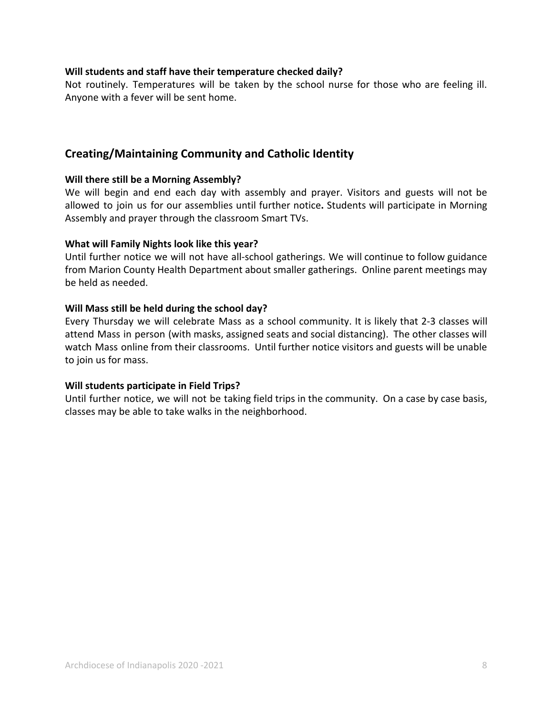#### **Will students and staff have their temperature checked daily?**

Not routinely. Temperatures will be taken by the school nurse for those who are feeling ill. Anyone with a fever will be sent home.

### **Creating/Maintaining Community and Catholic Identity**

#### **Will there still be a Morning Assembly?**

We will begin and end each day with assembly and prayer. Visitors and guests will not be allowed to join us for our assemblies until further notice**.** Students will participate in Morning Assembly and prayer through the classroom Smart TVs.

#### **What will Family Nights look like this year?**

Until further notice we will not have all-school gatherings. We will continue to follow guidance from Marion County Health Department about smaller gatherings. Online parent meetings may be held as needed.

#### **Will Mass still be held during the school day?**

Every Thursday we will celebrate Mass as a school community. It is likely that 2-3 classes will attend Mass in person (with masks, assigned seats and social distancing). The other classes will watch Mass online from their classrooms. Until further notice visitors and guests will be unable to join us for mass.

#### **Will students participate in Field Trips?**

Until further notice, we will not be taking field trips in the community. On a case by case basis, classes may be able to take walks in the neighborhood.